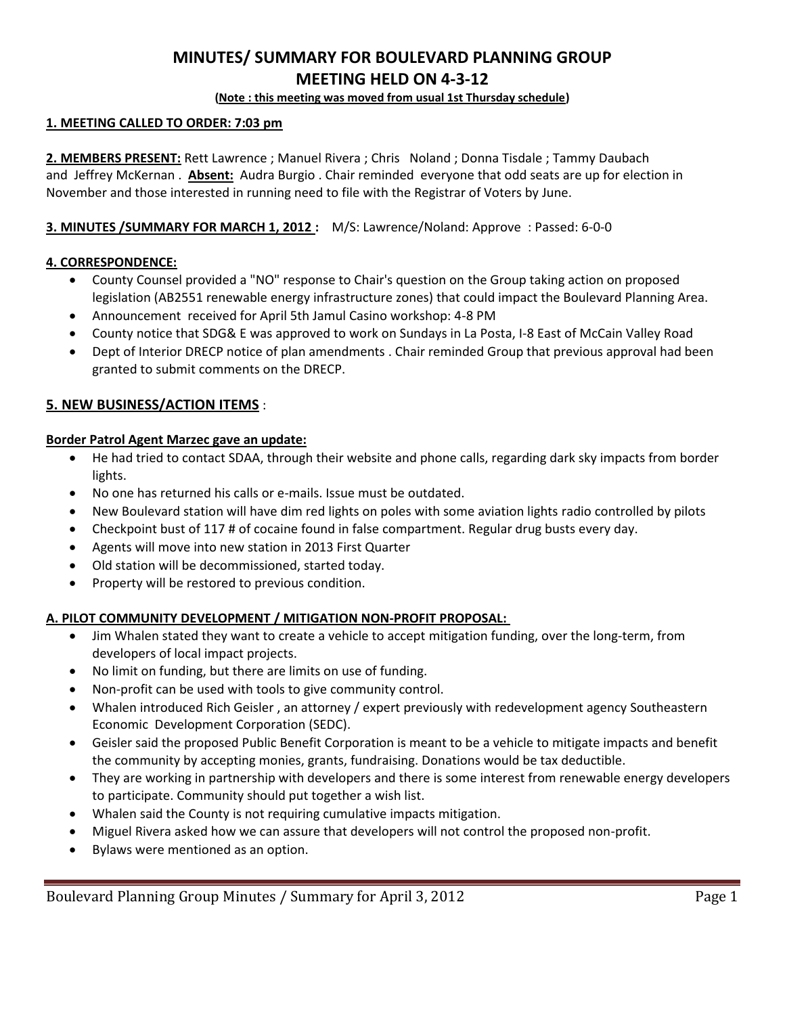# **MINUTES/ SUMMARY FOR BOULEVARD PLANNING GROUP MEETING HELD ON 4-3-12**

## **(Note : this meeting was moved from usual 1st Thursday schedule)**

# **1. MEETING CALLED TO ORDER: 7:03 pm**

**2. MEMBERS PRESENT:** Rett Lawrence ; Manuel Rivera ; Chris Noland ; Donna Tisdale ; Tammy Daubach and Jeffrey McKernan . **Absent:** Audra Burgio . Chair reminded everyone that odd seats are up for election in November and those interested in running need to file with the Registrar of Voters by June.

# **3. MINUTES /SUMMARY FOR MARCH 1, 2012 :** M/S: Lawrence/Noland: Approve : Passed: 6-0-0

# **4. CORRESPONDENCE:**

- County Counsel provided a "NO" response to Chair's question on the Group taking action on proposed legislation (AB2551 renewable energy infrastructure zones) that could impact the Boulevard Planning Area.
- Announcement received for April 5th Jamul Casino workshop: 4-8 PM
- County notice that SDG& E was approved to work on Sundays in La Posta, I-8 East of McCain Valley Road
- Dept of Interior DRECP notice of plan amendments . Chair reminded Group that previous approval had been granted to submit comments on the DRECP.

# **5. NEW BUSINESS/ACTION ITEMS** :

## **Border Patrol Agent Marzec gave an update:**

- He had tried to contact SDAA, through their website and phone calls, regarding dark sky impacts from border lights.
- No one has returned his calls or e-mails. Issue must be outdated.
- New Boulevard station will have dim red lights on poles with some aviation lights radio controlled by pilots
- Checkpoint bust of 117 # of cocaine found in false compartment. Regular drug busts every day.
- Agents will move into new station in 2013 First Quarter
- Old station will be decommissioned, started today.
- Property will be restored to previous condition.

## **A. PILOT COMMUNITY DEVELOPMENT / MITIGATION NON-PROFIT PROPOSAL:**

- Jim Whalen stated they want to create a vehicle to accept mitigation funding, over the long-term, from developers of local impact projects.
- No limit on funding, but there are limits on use of funding.
- Non-profit can be used with tools to give community control.
- Whalen introduced Rich Geisler , an attorney / expert previously with redevelopment agency Southeastern Economic Development Corporation (SEDC).
- Geisler said the proposed Public Benefit Corporation is meant to be a vehicle to mitigate impacts and benefit the community by accepting monies, grants, fundraising. Donations would be tax deductible.
- They are working in partnership with developers and there is some interest from renewable energy developers to participate. Community should put together a wish list.
- Whalen said the County is not requiring cumulative impacts mitigation.
- Miguel Rivera asked how we can assure that developers will not control the proposed non-profit.
- Bylaws were mentioned as an option.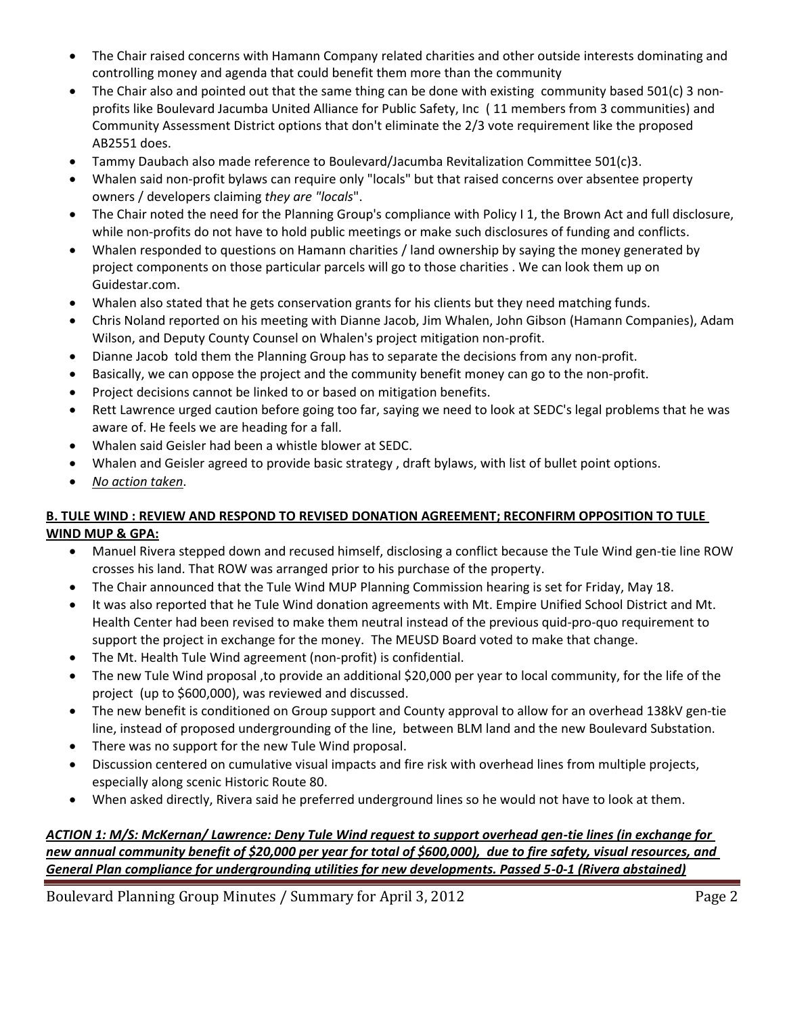- The Chair raised concerns with Hamann Company related charities and other outside interests dominating and controlling money and agenda that could benefit them more than the community
- The Chair also and pointed out that the same thing can be done with existing community based 501(c) 3 nonprofits like Boulevard Jacumba United Alliance for Public Safety, Inc ( 11 members from 3 communities) and Community Assessment District options that don't eliminate the 2/3 vote requirement like the proposed AB2551 does.
- Tammy Daubach also made reference to Boulevard/Jacumba Revitalization Committee 501(c)3.
- Whalen said non-profit bylaws can require only "locals" but that raised concerns over absentee property owners / developers claiming *they are "locals*".
- The Chair noted the need for the Planning Group's compliance with Policy I 1, the Brown Act and full disclosure, while non-profits do not have to hold public meetings or make such disclosures of funding and conflicts.
- Whalen responded to questions on Hamann charities / land ownership by saying the money generated by project components on those particular parcels will go to those charities . We can look them up on Guidestar.com.
- Whalen also stated that he gets conservation grants for his clients but they need matching funds.
- Chris Noland reported on his meeting with Dianne Jacob, Jim Whalen, John Gibson (Hamann Companies), Adam Wilson, and Deputy County Counsel on Whalen's project mitigation non-profit.
- Dianne Jacob told them the Planning Group has to separate the decisions from any non-profit.
- Basically, we can oppose the project and the community benefit money can go to the non-profit.
- Project decisions cannot be linked to or based on mitigation benefits.
- Rett Lawrence urged caution before going too far, saying we need to look at SEDC's legal problems that he was aware of. He feels we are heading for a fall.
- Whalen said Geisler had been a whistle blower at SEDC.
- Whalen and Geisler agreed to provide basic strategy , draft bylaws, with list of bullet point options.
- *No action taken*.

# **B. TULE WIND : REVIEW AND RESPOND TO REVISED DONATION AGREEMENT; RECONFIRM OPPOSITION TO TULE WIND MUP & GPA:**

- Manuel Rivera stepped down and recused himself, disclosing a conflict because the Tule Wind gen-tie line ROW crosses his land. That ROW was arranged prior to his purchase of the property.
- The Chair announced that the Tule Wind MUP Planning Commission hearing is set for Friday, May 18.
- It was also reported that he Tule Wind donation agreements with Mt. Empire Unified School District and Mt. Health Center had been revised to make them neutral instead of the previous quid-pro-quo requirement to support the project in exchange for the money. The MEUSD Board voted to make that change.
- The Mt. Health Tule Wind agreement (non-profit) is confidential.
- The new Tule Wind proposal ,to provide an additional \$20,000 per year to local community, for the life of the project (up to \$600,000), was reviewed and discussed.
- The new benefit is conditioned on Group support and County approval to allow for an overhead 138kV gen-tie line, instead of proposed undergrounding of the line, between BLM land and the new Boulevard Substation.
- There was no support for the new Tule Wind proposal.
- Discussion centered on cumulative visual impacts and fire risk with overhead lines from multiple projects, especially along scenic Historic Route 80.
- When asked directly, Rivera said he preferred underground lines so he would not have to look at them.

*ACTION 1: M/S: McKernan/ Lawrence: Deny Tule Wind request to support overhead gen-tie lines (in exchange for new annual community benefit of \$20,000 per year for total of \$600,000), due to fire safety, visual resources, and General Plan compliance for undergrounding utilities for new developments. Passed 5-0-1 (Rivera abstained)*

Boulevard Planning Group Minutes / Summary for April 3, 2012 Page 2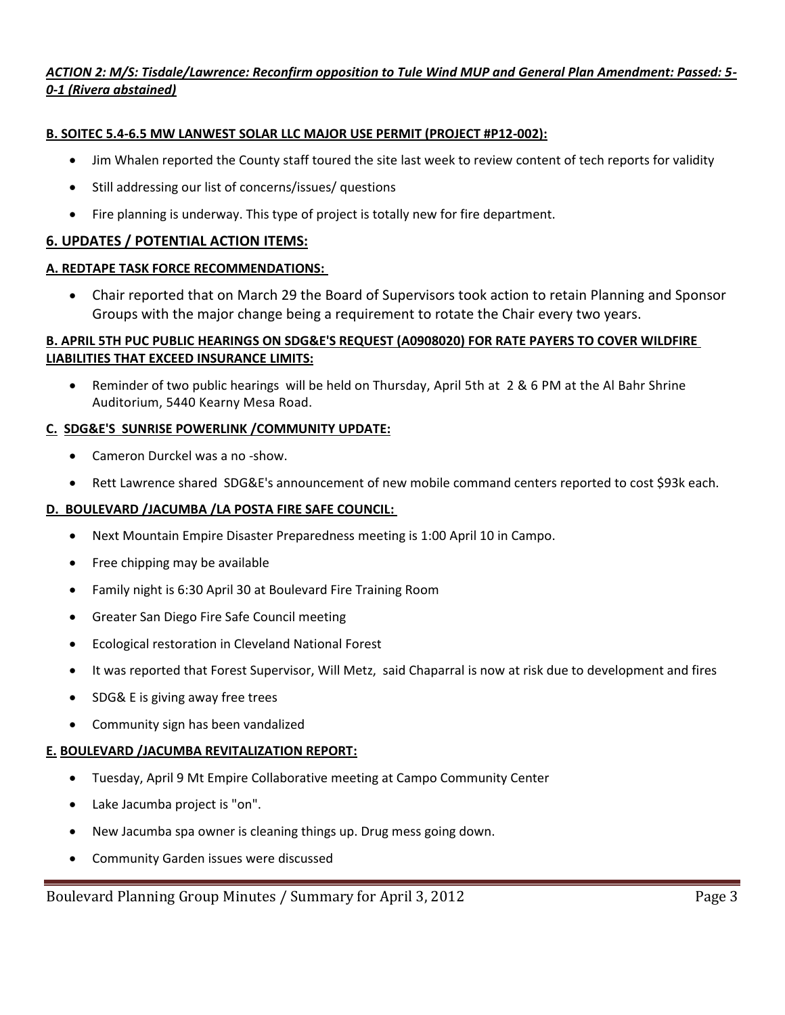# *ACTION 2: M/S: Tisdale/Lawrence: Reconfirm opposition to Tule Wind MUP and General Plan Amendment: Passed: 5- 0-1 (Rivera abstained)*

# **B. SOITEC 5.4-6.5 MW LANWEST SOLAR LLC MAJOR USE PERMIT (PROJECT #P12-002):**

- Jim Whalen reported the County staff toured the site last week to review content of tech reports for validity
- Still addressing our list of concerns/issues/ questions
- Fire planning is underway. This type of project is totally new for fire department.

# **6. UPDATES / POTENTIAL ACTION ITEMS:**

## **A. REDTAPE TASK FORCE RECOMMENDATIONS:**

 Chair reported that on March 29 the Board of Supervisors took action to retain Planning and Sponsor Groups with the major change being a requirement to rotate the Chair every two years.

# **B. APRIL 5TH PUC PUBLIC HEARINGS ON SDG&E'S REQUEST (A0908020) FOR RATE PAYERS TO COVER WILDFIRE LIABILITIES THAT EXCEED INSURANCE LIMITS:**

 Reminder of two public hearings will be held on Thursday, April 5th at 2 & 6 PM at the Al Bahr Shrine Auditorium, 5440 Kearny Mesa Road.

## **C. SDG&E'S SUNRISE POWERLINK /COMMUNITY UPDATE:**

- Cameron Durckel was a no -show.
- Rett Lawrence shared SDG&E's announcement of new mobile command centers reported to cost \$93k each.

## **D. BOULEVARD /JACUMBA /LA POSTA FIRE SAFE COUNCIL:**

- Next Mountain Empire Disaster Preparedness meeting is 1:00 April 10 in Campo.
- Free chipping may be available
- Family night is 6:30 April 30 at Boulevard Fire Training Room
- Greater San Diego Fire Safe Council meeting
- Ecological restoration in Cleveland National Forest
- It was reported that Forest Supervisor, Will Metz, said Chaparral is now at risk due to development and fires
- SDG& E is giving away free trees
- Community sign has been vandalized

## **E. BOULEVARD /JACUMBA REVITALIZATION REPORT:**

- Tuesday, April 9 Mt Empire Collaborative meeting at Campo Community Center
- Lake Jacumba project is "on".
- New Jacumba spa owner is cleaning things up. Drug mess going down.
- Community Garden issues were discussed

Boulevard Planning Group Minutes / Summary for April 3, 2012 **Page 3** Page 3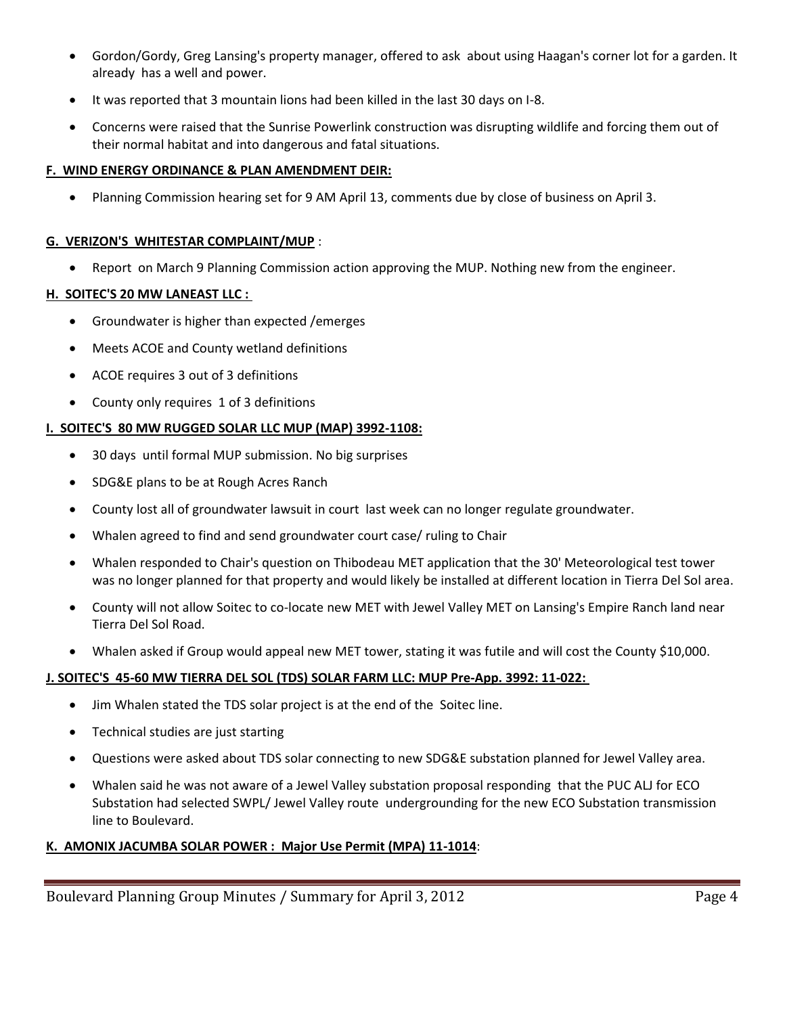- Gordon/Gordy, Greg Lansing's property manager, offered to ask about using Haagan's corner lot for a garden. It already has a well and power.
- It was reported that 3 mountain lions had been killed in the last 30 days on I-8.
- Concerns were raised that the Sunrise Powerlink construction was disrupting wildlife and forcing them out of their normal habitat and into dangerous and fatal situations.

#### **F. WIND ENERGY ORDINANCE & PLAN AMENDMENT DEIR:**

Planning Commission hearing set for 9 AM April 13, comments due by close of business on April 3.

#### **G. VERIZON'S WHITESTAR COMPLAINT/MUP** :

Report on March 9 Planning Commission action approving the MUP. Nothing new from the engineer.

## **H. SOITEC'S 20 MW LANEAST LLC :**

- Groundwater is higher than expected /emerges
- Meets ACOE and County wetland definitions
- ACOE requires 3 out of 3 definitions
- County only requires 1 of 3 definitions

## **I. SOITEC'S 80 MW RUGGED SOLAR LLC MUP (MAP) 3992-1108:**

- 30 days until formal MUP submission. No big surprises
- SDG&E plans to be at Rough Acres Ranch
- County lost all of groundwater lawsuit in court last week can no longer regulate groundwater.
- Whalen agreed to find and send groundwater court case/ ruling to Chair
- Whalen responded to Chair's question on Thibodeau MET application that the 30' Meteorological test tower was no longer planned for that property and would likely be installed at different location in Tierra Del Sol area.
- County will not allow Soitec to co-locate new MET with Jewel Valley MET on Lansing's Empire Ranch land near Tierra Del Sol Road.
- Whalen asked if Group would appeal new MET tower, stating it was futile and will cost the County \$10,000.

## **J. SOITEC'S 45-60 MW TIERRA DEL SOL (TDS) SOLAR FARM LLC: MUP Pre-App. 3992: 11-022:**

- Jim Whalen stated the TDS solar project is at the end of the Soitec line.
- Technical studies are just starting
- Questions were asked about TDS solar connecting to new SDG&E substation planned for Jewel Valley area.
- Whalen said he was not aware of a Jewel Valley substation proposal responding that the PUC ALJ for ECO Substation had selected SWPL/ Jewel Valley route undergrounding for the new ECO Substation transmission line to Boulevard.

## **K. AMONIX JACUMBA SOLAR POWER : Major Use Permit (MPA) 11-1014**:

Boulevard Planning Group Minutes / Summary for April 3, 2012 **Page 4** Page 4